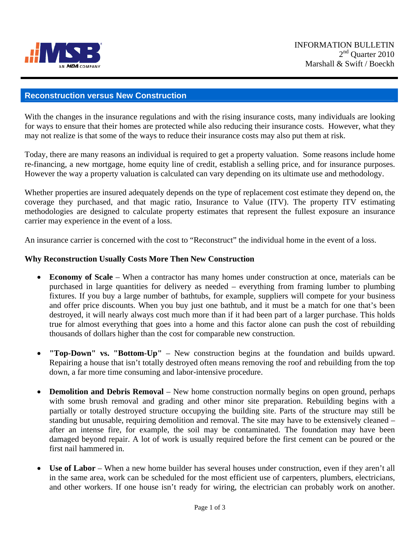

## **Reconstruction versus New Construction**

With the changes in the insurance regulations and with the rising insurance costs, many individuals are looking for ways to ensure that their homes are protected while also reducing their insurance costs. However, what they may not realize is that some of the ways to reduce their insurance costs may also put them at risk.

Today, there are many reasons an individual is required to get a property valuation. Some reasons include home re-financing, a new mortgage, home equity line of credit, establish a selling price, and for insurance purposes. However the way a property valuation is calculated can vary depending on its ultimate use and methodology.

Whether properties are insured adequately depends on the type of replacement cost estimate they depend on, the coverage they purchased, and that magic ratio, Insurance to Value (ITV). The property ITV estimating methodologies are designed to calculate property estimates that represent the fullest exposure an insurance carrier may experience in the event of a loss.

An insurance carrier is concerned with the cost to "Reconstruct" the individual home in the event of a loss.

## **Why Reconstruction Usually Costs More Then New Construction**

- **Economy of Scale** When a contractor has many homes under construction at once, materials can be purchased in large quantities for delivery as needed – everything from framing lumber to plumbing fixtures. If you buy a large number of bathtubs, for example, suppliers will compete for your business and offer price discounts. When you buy just one bathtub, and it must be a match for one that's been destroyed, it will nearly always cost much more than if it had been part of a larger purchase. This holds true for almost everything that goes into a home and this factor alone can push the cost of rebuilding thousands of dollars higher than the cost for comparable new construction.
- **"Top-Down" vs. "Bottom-Up"** New construction begins at the foundation and builds upward. Repairing a house that isn't totally destroyed often means removing the roof and rebuilding from the top down, a far more time consuming and labor-intensive procedure.
- **Demolition and Debris Removal** New home construction normally begins on open ground, perhaps with some brush removal and grading and other minor site preparation. Rebuilding begins with a partially or totally destroyed structure occupying the building site. Parts of the structure may still be standing but unusable, requiring demolition and removal. The site may have to be extensively cleaned – after an intense fire, for example, the soil may be contaminated. The foundation may have been damaged beyond repair. A lot of work is usually required before the first cement can be poured or the first nail hammered in.
- Use of Labor When a new home builder has several houses under construction, even if they aren't all in the same area, work can be scheduled for the most efficient use of carpenters, plumbers, electricians, and other workers. If one house isn't ready for wiring, the electrician can probably work on another.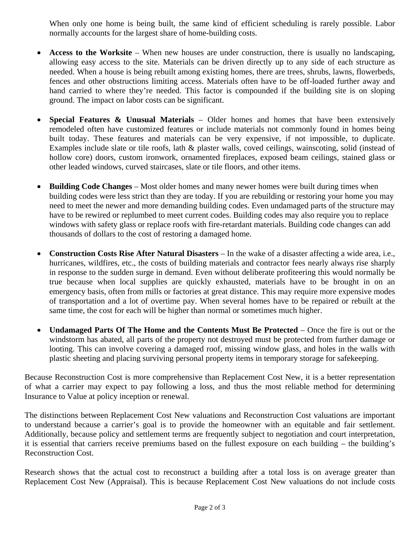When only one home is being built, the same kind of efficient scheduling is rarely possible. Labor normally accounts for the largest share of home-building costs.

- **Access to the Worksite** When new houses are under construction, there is usually no landscaping, allowing easy access to the site. Materials can be driven directly up to any side of each structure as needed. When a house is being rebuilt among existing homes, there are trees, shrubs, lawns, flowerbeds, fences and other obstructions limiting access. Materials often have to be off-loaded further away and hand carried to where they're needed. This factor is compounded if the building site is on sloping ground. The impact on labor costs can be significant.
- **Special Features & Unusual Materials** Older homes and homes that have been extensively remodeled often have customized features or include materials not commonly found in homes being built today. These features and materials can be very expensive, if not impossible, to duplicate. Examples include slate or tile roofs, lath & plaster walls, coved ceilings, wainscoting, solid (instead of hollow core) doors, custom ironwork, ornamented fireplaces, exposed beam ceilings, stained glass or other leaded windows, curved staircases, slate or tile floors, and other items.
- **Building Code Changes** Most older homes and many newer homes were built during times when building codes were less strict than they are today. If you are rebuilding or restoring your home you may need to meet the newer and more demanding building codes. Even undamaged parts of the structure may have to be rewired or replumbed to meet current codes. Building codes may also require you to replace windows with safety glass or replace roofs with fire-retardant materials. Building code changes can add thousands of dollars to the cost of restoring a damaged home.
- **Construction Costs Rise After Natural Disasters** In the wake of a disaster affecting a wide area, i.e., hurricanes, wildfires, etc., the costs of building materials and contractor fees nearly always rise sharply in response to the sudden surge in demand. Even without deliberate profiteering this would normally be true because when local supplies are quickly exhausted, materials have to be brought in on an emergency basis, often from mills or factories at great distance. This may require more expensive modes of transportation and a lot of overtime pay. When several homes have to be repaired or rebuilt at the same time, the cost for each will be higher than normal or sometimes much higher.
- **Undamaged Parts Of The Home and the Contents Must Be Protected** Once the fire is out or the windstorm has abated, all parts of the property not destroyed must be protected from further damage or looting. This can involve covering a damaged roof, missing window glass, and holes in the walls with plastic sheeting and placing surviving personal property items in temporary storage for safekeeping.

Because Reconstruction Cost is more comprehensive than Replacement Cost New, it is a better representation of what a carrier may expect to pay following a loss, and thus the most reliable method for determining Insurance to Value at policy inception or renewal.

The distinctions between Replacement Cost New valuations and Reconstruction Cost valuations are important to understand because a carrier's goal is to provide the homeowner with an equitable and fair settlement. Additionally, because policy and settlement terms are frequently subject to negotiation and court interpretation, it is essential that carriers receive premiums based on the fullest exposure on each building – the building's Reconstruction Cost.

Research shows that the actual cost to reconstruct a building after a total loss is on average greater than Replacement Cost New (Appraisal). This is because Replacement Cost New valuations do not include costs